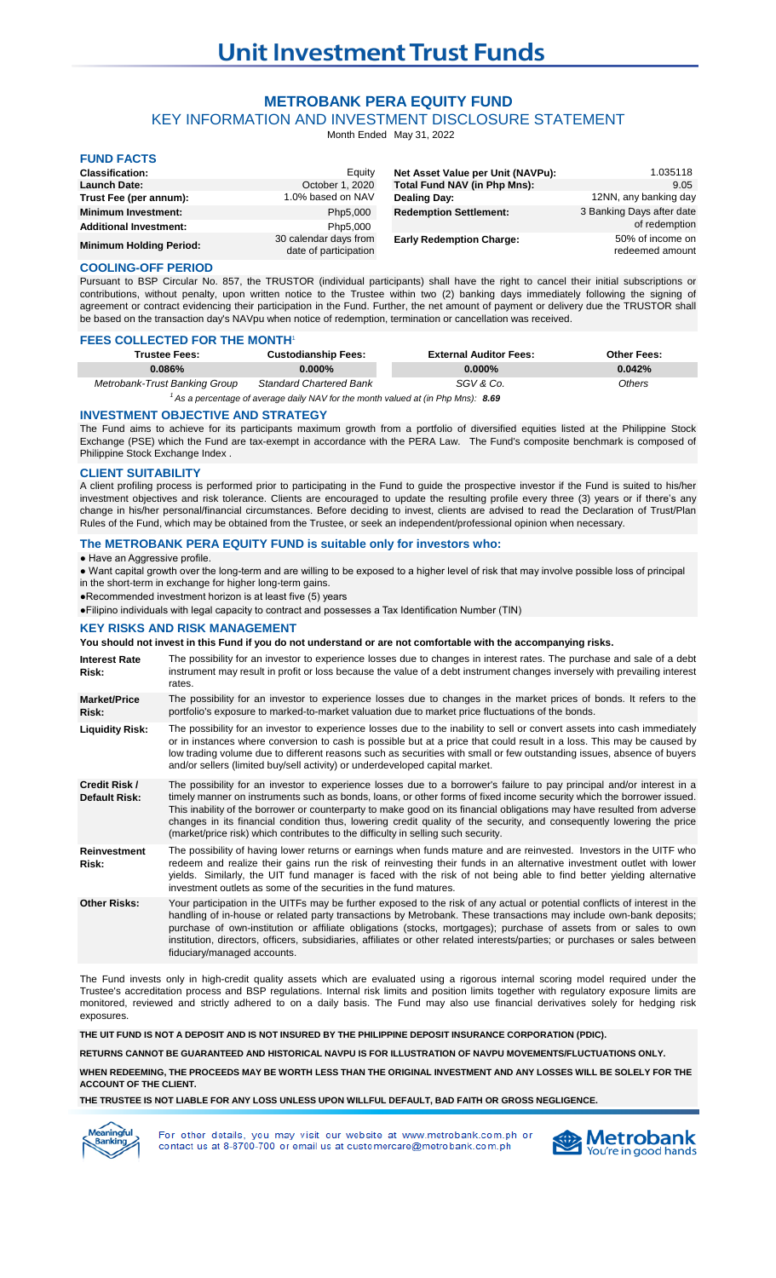# **METROBANK PERA EQUITY FUND**

KEY INFORMATION AND INVESTMENT DISCLOSURE STATEMENT

Month Ended May 31, 2022

| <b>FUND FACTS</b>              |                                                |                                   |                                     |
|--------------------------------|------------------------------------------------|-----------------------------------|-------------------------------------|
| <b>Classification:</b>         | Equity                                         | Net Asset Value per Unit (NAVPu): | 1.035118                            |
| <b>Launch Date:</b>            | October 1, 2020                                | Total Fund NAV (in Php Mns):      | 9.05                                |
| Trust Fee (per annum):         | 1.0% based on NAV                              | Dealing Day:                      | 12NN, any banking day               |
| <b>Minimum Investment:</b>     | Php5,000                                       | <b>Redemption Settlement:</b>     | 3 Banking Days after date           |
| <b>Additional Investment:</b>  | Php5,000                                       |                                   | of redemption                       |
| <b>Minimum Holding Period:</b> | 30 calendar days from<br>date of participation | <b>Early Redemption Charge:</b>   | 50% of income on<br>redeemed amount |

## **COOLING-OFF PERIOD**

Pursuant to BSP Circular No. 857, the TRUSTOR (individual participants) shall have the right to cancel their initial subscriptions or contributions, without penalty, upon written notice to the Trustee within two (2) banking days immediately following the signing of agreement or contract evidencing their participation in the Fund. Further, the net amount of payment or delivery due the TRUSTOR shall be based on the transaction day's NAVpu when notice of redemption, termination or cancellation was received.

#### **FEES COLLECTED FOR THE MONTH**<sup>1</sup>

| <b>Trustee Fees:</b>          | <b>Custodianship Fees:</b>     | <b>External Auditor Fees:</b> | <b>Other Fees:</b> |
|-------------------------------|--------------------------------|-------------------------------|--------------------|
| 0.086%                        | $0.000\%$                      | $0.000\%$                     | 0.042%             |
| Metrobank-Trust Banking Group | <b>Standard Chartered Bank</b> | SGV & Co.                     | Others             |

<sup>1</sup> As a percentage of average daily NAV for the month valued at (in Php Mns): 8.69

#### **INVESTMENT OBJECTIVE AND STRATEGY**

The Fund aims to achieve for its participants maximum growth from a portfolio of diversified equities listed at the Philippine Stock Exchange (PSE) which the Fund are tax-exempt in accordance with the PERA Law. The Fund's composite benchmark is composed of Philippine Stock Exchange Index .

## **CLIENT SUITABILITY**

A client profiling process is performed prior to participating in the Fund to guide the prospective investor if the Fund is suited to his/her investment objectives and risk tolerance. Clients are encouraged to update the resulting profile every three (3) years or if there's any change in his/her personal/financial circumstances. Before deciding to invest, clients are advised to read the Declaration of Trust/Plan Rules of the Fund, which may be obtained from the Trustee, or seek an independent/professional opinion when necessary.

## **The METROBANK PERA EQUITY FUND is suitable only for investors who:**

● Have an Aggressive profile.

● Want capital growth over the long-term and are willing to be exposed to a higher level of risk that may involve possible loss of principal in the short-term in exchange for higher long-term gains.

●Recommended investment horizon is at least five (5) years

●Filipino individuals with legal capacity to contract and possesses a Tax Identification Number (TIN)

### **KEY RISKS AND RISK MANAGEMENT**

## **You should not invest in this Fund if you do not understand or are not comfortable with the accompanying risks.**

| <b>Interest Rate</b><br>Risk:         | The possibility for an investor to experience losses due to changes in interest rates. The purchase and sale of a debt<br>instrument may result in profit or loss because the value of a debt instrument changes inversely with prevailing interest<br>rates.                                                                                                                                                                                                                                                                                                                            |
|---------------------------------------|------------------------------------------------------------------------------------------------------------------------------------------------------------------------------------------------------------------------------------------------------------------------------------------------------------------------------------------------------------------------------------------------------------------------------------------------------------------------------------------------------------------------------------------------------------------------------------------|
| <b>Market/Price</b><br>Risk:          | The possibility for an investor to experience losses due to changes in the market prices of bonds. It refers to the<br>portfolio's exposure to marked-to-market valuation due to market price fluctuations of the bonds.                                                                                                                                                                                                                                                                                                                                                                 |
| <b>Liquidity Risk:</b>                | The possibility for an investor to experience losses due to the inability to sell or convert assets into cash immediately<br>or in instances where conversion to cash is possible but at a price that could result in a loss. This may be caused by<br>low trading volume due to different reasons such as securities with small or few outstanding issues, absence of buyers<br>and/or sellers (limited buy/sell activity) or underdeveloped capital market.                                                                                                                            |
| Credit Risk /<br><b>Default Risk:</b> | The possibility for an investor to experience losses due to a borrower's failure to pay principal and/or interest in a<br>timely manner on instruments such as bonds, loans, or other forms of fixed income security which the borrower issued.<br>This inability of the borrower or counterparty to make good on its financial obligations may have resulted from adverse<br>changes in its financial condition thus, lowering credit quality of the security, and consequently lowering the price<br>(market/price risk) which contributes to the difficulty in selling such security. |
| <b>Reinvestment</b><br>Risk:          | The possibility of having lower returns or earnings when funds mature and are reinvested. Investors in the UITF who<br>redeem and realize their gains run the risk of reinvesting their funds in an alternative investment outlet with lower<br>yields. Similarly, the UIT fund manager is faced with the risk of not being able to find better yielding alternative<br>investment outlets as some of the securities in the fund matures.                                                                                                                                                |
| <b>Other Risks:</b>                   | Your participation in the UITFs may be further exposed to the risk of any actual or potential conflicts of interest in the<br>handling of in-house or related party transactions by Metrobank. These transactions may include own-bank deposits;<br>purchase of own-institution or affiliate obligations (stocks, mortgages); purchase of assets from or sales to own<br>institution, directors, officers, subsidiaries, affiliates or other related interests/parties; or purchases or sales between<br>fiduciary/managed accounts.                                                     |

The Fund invests only in high-credit quality assets which are evaluated using a rigorous internal scoring model required under the Trustee's accreditation process and BSP regulations. Internal risk limits and position limits together with regulatory exposure limits are monitored, reviewed and strictly adhered to on a daily basis. The Fund may also use financial derivatives solely for hedging risk exposures.

**THE UIT FUND IS NOT A DEPOSIT AND IS NOT INSURED BY THE PHILIPPINE DEPOSIT INSURANCE CORPORATION (PDIC).**

**RETURNS CANNOT BE GUARANTEED AND HISTORICAL NAVPU IS FOR ILLUSTRATION OF NAVPU MOVEMENTS/FLUCTUATIONS ONLY.**

**WHEN REDEEMING, THE PROCEEDS MAY BE WORTH LESS THAN THE ORIGINAL INVESTMENT AND ANY LOSSES WILL BE SOLELY FOR THE ACCOUNT OF THE CLIENT.**

**THE TRUSTEE IS NOT LIABLE FOR ANY LOSS UNLESS UPON WILLFUL DEFAULT, BAD FAITH OR GROSS NEGLIGENCE.**



For other details, you may visit our website at www.metrobank.com.ph or contact us at 8-8700-700 or email us at customercare@metrobank.com.ph

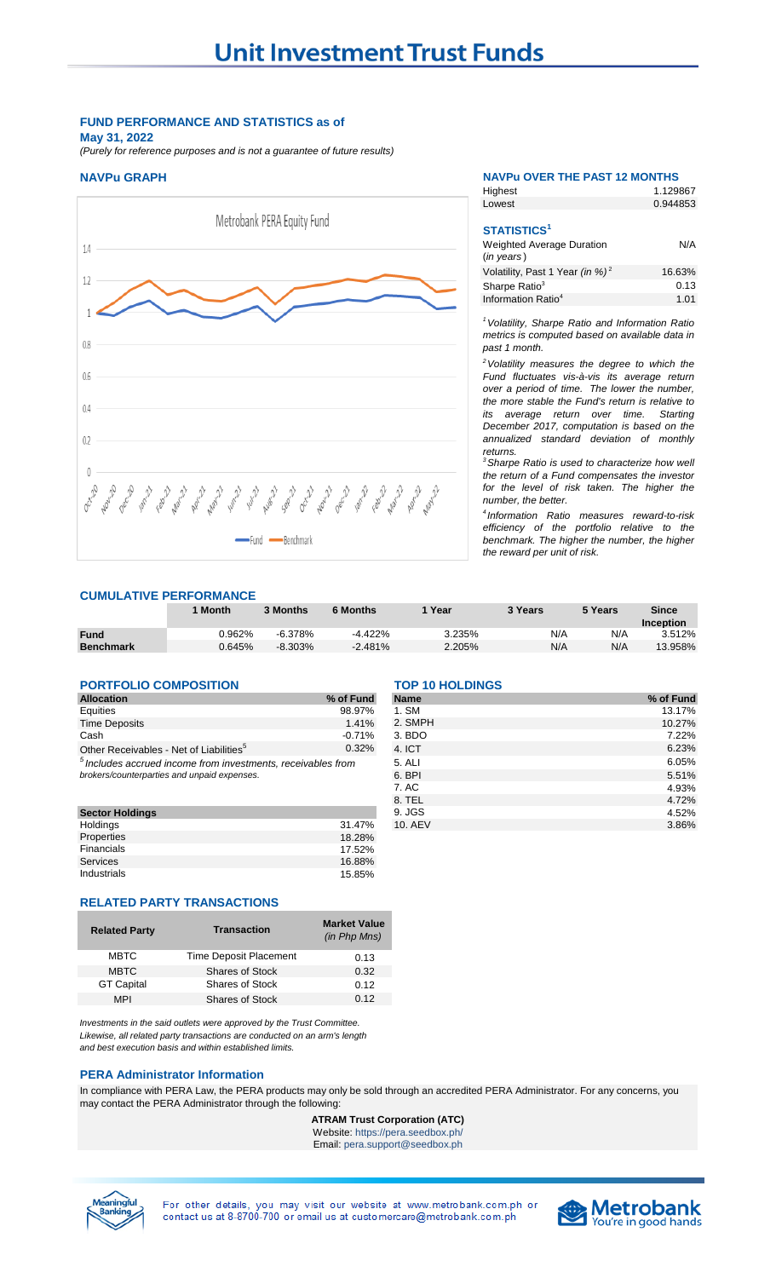# **FUND PERFORMANCE AND STATISTICS as of May 31, 2022**

*(Purely for reference purposes and is not a guarantee of future results)*



### **NAVPu GRAPH NAVPu OVER THE PAST 12 MONTHS**

Highest

1.129867

| Lowest                                                   | 0.944853 |
|----------------------------------------------------------|----------|
|                                                          |          |
| <b>STATISTICS<sup>1</sup></b>                            |          |
| <b>Weighted Average Duration</b><br>$(in \text{ years})$ | N/A      |
| Volatility, Past 1 Year (in %) <sup>2</sup>              | 16.63%   |
| Sharpe Ratio <sup>3</sup>                                | 0.13     |
| Information Ratio <sup>4</sup>                           | 1.01     |

*<sup>1</sup>Volatility, Sharpe Ratio and Information Ratio metrics is computed based on available data in past 1 month.*

*<sup>2</sup>Volatility measures the degree to which the Fund fluctuates vis-à-vis its average return over a period of time. The lower the number, the more stable the Fund's return is relative to its average return over time. Starting December 2017, computation is based on the annualized standard deviation of monthly returns.* 

*<sup>3</sup>Sharpe Ratio is used to characterize how well the return of a Fund compensates the investor for the level of risk taken. The higher the number, the better.*

*4 Information Ratio measures reward-to-risk efficiency of the portfolio relative to the benchmark. The higher the number, the higher the reward per unit of risk.*

## **CUMULATIVE PERFORMANCE**

|                  | <b>Month</b> | 3 Months  | 6 Months   | Year   | 3 Years | 5 Years | <b>Since</b> |
|------------------|--------------|-----------|------------|--------|---------|---------|--------------|
|                  |              |           |            |        |         |         | Inception    |
| <b>Fund</b>      | $0.962\%$    | $-6.378%$ | $-4.422\%$ | 3.235% | N/A     | N/A     | 3.512%       |
| <b>Benchmark</b> | 0.645%       | $-8.303%$ | $-2.481%$  | 2.205% | N/A     | N/A     | 13.958%      |

## **PORTFOLIO COMPOSITION TOP 10 HOLDINGS**

| <b>Allocation</b>                                              | % of Fund | <b>Name</b> | % of Fund |
|----------------------------------------------------------------|-----------|-------------|-----------|
| Equities                                                       | 98.97%    | 1. SM       | 13.17%    |
| <b>Time Deposits</b>                                           | 1.41%     | 2. SMPH     | 10.27%    |
| Cash                                                           | $-0.71%$  | 3. BDO      | 7.22%     |
| Other Receivables - Net of Liabilities <sup>5</sup>            | 0.32%     | 4. ICT      | 6.23%     |
| $5$ Includes accrued income from investments, receivables from |           | 5. ALI      | 6.05%     |
| brokers/counterparties and unpaid expenses.                    |           | 6. BPI      | 5.51%     |
|                                                                |           | 7. AC       | 4.93%     |

| <b>Sector Holdings</b> |        |
|------------------------|--------|
| Holdings               | 31.47% |
| Properties             | 18.28% |
| Financials             | 17.52% |
| <b>Services</b>        | 16.88% |
| Industrials            | 15.85% |

## **RELATED PARTY TRANSACTIONS**

| <b>Related Party</b> | <b>Transaction</b>            | <b>Market Value</b><br>(in Php Mns) |
|----------------------|-------------------------------|-------------------------------------|
| <b>MBTC</b>          | <b>Time Deposit Placement</b> | 0.13                                |
| <b>MBTC</b>          | <b>Shares of Stock</b>        | 0.32                                |
| <b>GT Capital</b>    | <b>Shares of Stock</b>        | 0.12                                |
| <b>MPI</b>           | <b>Shares of Stock</b>        | 0.12                                |
|                      |                               |                                     |

*Investments in the said outlets were approved by the Trust Committee. Likewise, all related party transactions are conducted on an arm's length and best execution basis and within established limits.*

# **PERA Administrator Information**

In compliance with PERA Law, the PERA products may only be sold through an accredited PERA Administrator. For any concerns, you may contact the PERA Administrator through the following:

### **ATRAM Trust Corporation (ATC)** Website: https://pera.seedbox.ph/

Email: pera.support@seedbox.ph



For other details, you may visit our website at www.metrobank.com.ph or contact us at 8-8700-700 or email us at customercare@metrobank.com.ph



| Allocation                                                                                                    | % of Fund | <b>Name</b>   | % of Fund |
|---------------------------------------------------------------------------------------------------------------|-----------|---------------|-----------|
| Equities                                                                                                      | 98.97%    | 1. SM         | 13.17%    |
| <b>Time Deposits</b>                                                                                          | 1.41%     | 2. SMPH       | 10.27%    |
| Cash                                                                                                          | $-0.71%$  | 3. <b>BDO</b> | 7.22%     |
| Other Receivables - Net of Liabilities <sup>5</sup>                                                           | 0.32%     | 4. ICT        | 6.23%     |
| $5$ Includes accrued income from investments, receivables from<br>brokers/counterparties and unpaid expenses. |           | 5. ALI        | 6.05%     |
|                                                                                                               |           | 6. BPI        | 5.51%     |
|                                                                                                               |           | 7. AC         | 4.93%     |
|                                                                                                               |           | 8. TEL        | 4.72%     |
| <b>Sector Holdings</b>                                                                                        |           | 9. JGS        | 4.52%     |
| Holdings                                                                                                      | 31.47%    | 10. AEV       | 3.86%     |
|                                                                                                               |           |               |           |